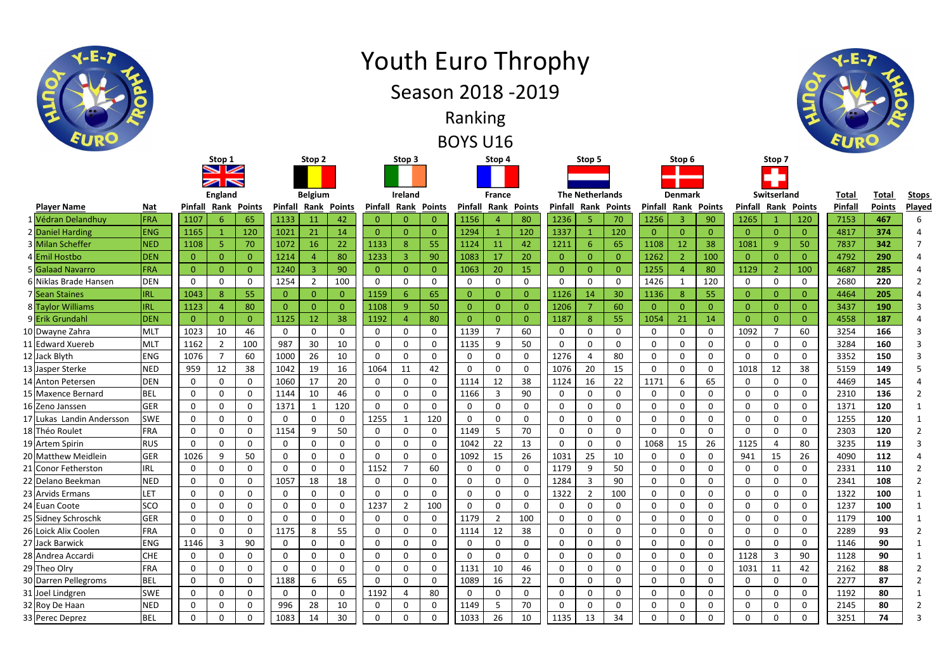|                           |                | Stop 1<br>$\sim$ $\sim$<br><b>ZIN</b> |                |                    |                | Stop 2         |                |                | Stop 3         |                |                | Stop 4         |                 | Stop 5                 |                |                  | Stop 6         |              |                | Stop 7         |          |                |         |               |      |
|---------------------------|----------------|---------------------------------------|----------------|--------------------|----------------|----------------|----------------|----------------|----------------|----------------|----------------|----------------|-----------------|------------------------|----------------|------------------|----------------|--------------|----------------|----------------|----------|----------------|---------|---------------|------|
|                           | <b>England</b> |                                       |                | <b>Belgium</b>     |                |                |                | Ireland        |                |                | <b>France</b>  |                |                 | <b>The Netherlands</b> |                |                  | <b>Denmark</b> |              |                | Switserland    |          | <b>Total</b>   | Total   | <u>Sto</u>    |      |
| <b>Player Name</b>        | <b>Nat</b>     | Pinfall                               |                | <b>Rank Points</b> | <b>Pinfall</b> | Rank           | <b>Points</b>  | Pinfall        | Rank           | <b>Points</b>  | <b>Pinfall</b> | Rank           | <b>Points</b>   | Pinfall                | Rank           | <b>Points</b>    | Pinfall        | Rank         | <b>Points</b>  | Pinfall        | Rank     | <b>Points</b>  | Pinfall | <b>Points</b> | Play |
| 1 Védran Delandhuy        | FRA            | 1107                                  | 6              | 65                 | 1133           | <sup>11</sup>  | 42             | $\mathbf{0}$   |                | $\overline{0}$ | 1156           |                | 80              | 1236                   | 5              | 70               | 1256           |              | 90             | 1265           |          | 120            | 7153    | 467           |      |
| 2 Daniel Harding          | <b>ENG</b>     | 1165                                  |                | 120                | 1021           | 21             | 14             | $\overline{0}$ | $\Omega$       | $\overline{0}$ | 1294           |                | 120             | 1337                   |                | 120              | $\mathbf{0}$   | $\Omega$     | $\overline{0}$ | $\overline{0}$ |          | $\overline{0}$ | 4817    | 374           |      |
| 3 Milan Scheffer          | <b>NED</b>     | 1108                                  | 5              | 70                 | 1072           | 16             | 22             | 1133           | 8              | 55             | 1124           | 11             | 42              | 1211                   | 6              | 65               | 1108           | 12           | 38             | 1081           | 9        | 50             | 7837    | 342           |      |
| 4 Emil Hostbo             | <b>DEN</b>     | $\mathbf{0}$                          | $\overline{0}$ | $\Omega$           | 1214           |                | 80             | 1233           |                | 90             | 1083           | 17             | 20              | $\mathbf{0}$           | $\overline{0}$ | $\overline{0}$   | 1262           |              | 100            | $\overline{0}$ |          | $\overline{0}$ | 4792    | 290           |      |
| 5 Galaad Navarro          | FRA            | $\mathbf{0}$                          | $\overline{0}$ | $\Omega$           | 1240           | 3              | 90             | $\overline{0}$ |                | $\overline{0}$ | 1063           | 20             | 15              | $\overline{0}$         | $\overline{0}$ | $\overline{0}$   | 1255           |              | 80             | 1129           |          | 100            | 4687    | 285           |      |
| 6 Niklas Brade Hansen     | <b>DEN</b>     | $\mathbf 0$                           | $\mathbf 0$    | $\Omega$           | 1254           | $\overline{2}$ | 100            | $\mathbf 0$    | $\Omega$       | $\mathbf 0$    | $\mathbf 0$    | 0              | $\mathbf 0$     | 0                      | $\mathbf 0$    | $\mathbf 0$      | 1426           |              | 120            | $\mathbf 0$    | 0        | 0              | 2680    | 220           |      |
| 7 Sean Staines            | <b>IRL</b>     | 1043                                  | 8              | 55                 |                | $\mathbf{0}$   | $\overline{0}$ | 1159           |                | 65             | $\overline{0}$ | $\theta$       | $\Omega$        | 1126                   | 14             | 30               | 1136           | 8            | 55             | $\overline{0}$ |          | $\overline{0}$ | 4464    | 205           |      |
| 8 Taylor Williams         | <b>IRL</b>     | 1123                                  |                | 80                 |                | $\overline{0}$ | $\overline{0}$ | 1108           | q              | 50             | $\overline{0}$ | $\Omega$       | $\overline{0}$  | 1206                   | $\overline{7}$ | 60               | 0              |              | $\overline{0}$ | $\overline{0}$ |          | $\overline{0}$ | 3437    | 190           |      |
| 9 Erik Grundahl           | <b>DEN</b>     | $\overline{0}$                        | $\overline{0}$ | $\Omega$           | 1125           | 12             | 38             | 1192           |                | 80             | $\overline{0}$ | $\overline{0}$ | $\Omega$        | 1187                   | 8              | 55               | 1054           | 21           | 14             | $\overline{0}$ |          | $\overline{0}$ | 4558    | 187           |      |
| 10 Dwayne Zahra           | <b>MLT</b>     | 1023                                  | 10             | 46                 | 0              | $\mathbf 0$    | $\mathbf 0$    | $\mathbf 0$    | 0              | $\mathbf 0$    | 1139           | - 7            | 60              | 0                      | $\mathbf 0$    | $\mathbf 0$      | 0              | 0            | 0              | 1092           |          | 60             | 3254    | 166           |      |
| 11 Edward Xuereb          | <b>MLT</b>     | 1162                                  | $\overline{2}$ | 100                | 987            | 30             | 10             | $\mathbf 0$    | $\Omega$       | $\mathbf 0$    | 1135           | 9              | 50              | 0                      | $\mathbf 0$    | $\mathbf 0$      | 0              | $\Omega$     | 0              | 0              | 0        | $\mathbf 0$    | 3284    | 160           |      |
| 12 Jack Blyth             | <b>ENG</b>     | 1076                                  | $\overline{7}$ | 60                 | 1000           | 26             | 10             | $\mathbf 0$    | $\Omega$       | $\mathbf 0$    | $\mathbf 0$    | $\Omega$       | $\mathbf 0$     | 1276                   | $\overline{4}$ | 80               | 0              | $\mathbf{0}$ | 0              | $\mathbf 0$    | $\Omega$ | $\Omega$       | 3352    | 150           |      |
| 13 Jasper Sterke          | <b>NED</b>     | 959                                   | 12             | 38                 | 1042           | 19             | 16             | 1064           | 11             | 42             | $\Omega$       |                | $\Omega$        | 1076                   | 20             | 15               | 0              | $\Omega$     | 0              | 1018           | 12       | 38             | 5159    | 149           |      |
| 14 Anton Petersen         | <b>DEN</b>     | 0                                     | $\mathbf 0$    | $\mathbf{0}$       | 1060           | 17             | 20             | $\mathbf 0$    | 0              | $\mathbf 0$    | 1114           | 12             | 38              | 1124                   | 16             | 22               | 1171           | 6            | 65             | $\mathbf 0$    | 0        | $\mathbf 0$    | 4469    | 145           |      |
| 15 Maxence Bernard        | <b>BEL</b>     | $\mathbf 0$                           | $\mathbf 0$    | 0                  | 1144           | 10             | 46             | $\mathbf 0$    | 0              | $\mathbf 0$    | 1166           | 3              | 90              | 0                      | $\mathbf 0$    | $\mathbf 0$      | 0              | 0            | 0              | $\mathbf 0$    | 0        | $\mathbf 0$    | 2310    | 136           |      |
| 16 Zeno Janssen           | <b>GER</b>     | 0                                     | $\mathbf 0$    | $\mathbf{0}$       | 1371           |                | 120            | $\mathbf 0$    | $\mathbf{0}$   | $\mathbf 0$    | 0              | 0              | 0               | 0                      | $\mathbf 0$    | $\mathbf 0$      | 0              | $\Omega$     | 0              | $\mathbf 0$    | 0        | $\mathbf 0$    | 1371    | 120           |      |
| 17 Lukas Landin Andersson | <b>SWE</b>     | $\mathbf 0$                           | $\mathbf 0$    | $\Omega$           | $\Omega$       | $\Omega$       | $\mathbf 0$    | 1255           |                | 120            | $\mathbf 0$    | $\Omega$       | $\mathbf 0$     | 0                      | $\mathbf 0$    | $\mathbf 0$      | $\mathbf 0$    | $\mathbf{0}$ | 0              | $\mathbf 0$    | $\Omega$ | $\mathbf 0$    | 1255    | 120           |      |
| 18 Théo Roulet            | <b>FRA</b>     | 0                                     | 0              | 0                  | 1154           | 9              | 50             | $\mathbf 0$    | $\Omega$       | $\mathbf 0$    | 1149           | 5              | 70              | 0                      | $\mathbf 0$    | 0                | 0              | $\Omega$     | 0              | 0              | U        | $\mathbf 0$    | 2303    | 120           |      |
| 19 Artem Spirin           | <b>RUS</b>     | 0                                     | $\mathbf 0$    | 0                  | 0              | 0              | $\mathbf 0$    | $\mathbf 0$    | 0              | $\mathbf 0$    | 1042           | 22             | 13              | 0                      | $\mathbf 0$    | $\mathbf 0$      | 1068           | 15           | 26             | 1125           |          | 80             | 3235    | 119           |      |
| 20 Matthew Meidlein       | <b>GER</b>     | 1026                                  | 9              | 50                 | 0              | $\mathbf 0$    | $\mathbf 0$    | $\mathbf 0$    | 0              | $\mathbf 0$    | 1092           | 15             | 26              | 1031                   | 25             | 10               | 0              | 0            | 0              | 941            | 15       | 26             | 4090    | 112           |      |
| 21 Conor Fetherston       | <b>IRL</b>     | 0                                     | 0              | $\Omega$           | 0              | 0              | $\mathbf 0$    | 1152           |                | 60             | $\mathbf 0$    | 0              | $\mathbf{0}$    | 1179                   | 9              | 50               | 0              | $\mathbf{0}$ | 0              | $\mathbf 0$    | 0        | 0              | 2331    | 110           |      |
| 22 Delano Beekman         | <b>NED</b>     | $\mathbf 0$                           | $\mathbf 0$    | $\Omega$           | 1057           | 18             | 18             | $\mathbf 0$    | $\Omega$       | $\mathbf 0$    | $\Omega$       | 0              | $\Omega$        | 1284                   | 3              | 90               | $\mathbf 0$    | $\Omega$     | 0              | $\mathbf 0$    | $\Omega$ | $\mathbf 0$    | 2341    | 108           |      |
| 23 Arvids Ermans          | LET            | 0                                     | 0              | 0                  | 0              | $\mathbf 0$    | $\mathbf 0$    | $\mathbf 0$    | 0              | $\mathbf 0$    | 0              | 0              | 0               | 1322                   | $\overline{2}$ | 100              | 0              |              | 0              | $\mathbf 0$    | 0        | 0              | 1322    | 100           |      |
| 24 Euan Coote             | <b>SCO</b>     | $\mathbf 0$                           | $\mathbf 0$    | 0                  | 0              | $\mathbf 0$    | $\mathbf 0$    | 1237           | $\overline{2}$ | 100            | $\pmb{0}$      | 0              | $\mathbf 0$     | 0                      | 0              | 0                | $\mathbf 0$    | $\mathbf 0$  | $\mathbf 0$    | $\mathbf 0$    | 0        | $\mathbf 0$    | 1237    | 100           |      |
| 25 Sidney Schroschk       | <b>GER</b>     | $\mathbf 0$                           | $\mathbf 0$    | $\mathbf 0$        | $\mathbf{0}$   | $\mathbf 0$    | $\mathbf 0$    | $\mathbf 0$    | $\mathbf{0}$   | $\mathbf 0$    | 1179           | $\overline{2}$ | 100             | $\overline{0}$         | $\mathbf 0$    | $\mathbf 0$      | $\mathbf 0$    | $\mathsf{O}$ | $\mathbf 0$    | $\mathbf 0$    | 0        | $\mathbf 0$    | 1179    | 100           |      |
| 26 Loick Alix Coolen      | <b>FRA</b>     | 0                                     | $\mathbf 0$    | $\mathbf 0$        | 1175           | 8              | 55             | $\mathbf 0$    | 0              | $\mathbf 0$    | 1114           | 12             | 38              | $\mathbf 0$            | $\mathbf 0$    | $\mathbf 0$      | 0              | $\mathsf{O}$ | 0              | $\mathbf 0$    | 0        | $\mathbf 0$    | 2289    | 93            |      |
| 27 Jack Barwick           | <b>ENG</b>     | 1146                                  | $\overline{3}$ | 90                 | 0              | $\mathbf 0$    | $\mathbf 0$    | $\mathbf 0$    | 0              | $\mathbf 0$    | $\mathbf 0$    | 0              | 0               | $\mathbf 0$            | $\mathbf 0$    | $\mathbf 0$      | 0              | 0            | $\mathbf 0$    | $\mathbf 0$    | 0        | $\mathbf 0$    | 1146    | 90            |      |
| 28 Andrea Accardi         | <b>CHE</b>     | $\mathbf{0}$                          | $\mathbf 0$    | 0                  | 0              | $\mathbf{0}$   | $\mathbf 0$    | $\mathbf 0$    | 0              | $\mathbf 0$    | $\mathbf 0$    | 0              | $\mathbf{0}$    | 0                      | $\mathbf 0$    | $\boldsymbol{0}$ | 0              | 0            | $\mathbf 0$    | 1128           | 3        | 90             | 1128    | 90            |      |
| 29 Theo Olry              | <b>FRA</b>     | $\mathbf 0$                           | $\mathbf 0$    | $\Omega$           | 0              | $\mathbf 0$    | $\mathbf 0$    | $\mathbf 0$    | 0              | $\mathbf 0$    | 1131           | 10             | 46              | 0                      | $\mathbf 0$    | $\mathbf 0$      | 0              | 0            | 0              | 1031           | 11       | 42             | 2162    | 88            |      |
| 30 Darren Pellegroms      | <b>BEL</b>     | $\mathbf 0$                           | $\mathbf 0$    | 0                  | 1188           | 6 <sup>1</sup> | 65             | $\mathbf 0$    | $\mathbf 0$    | $\overline{0}$ | 1089           | 16             | 22              | $\mathbf 0$            | $\mathbf 0$    | $\mathbf 0$      | $\mathbf 0$    | $\mathbf 0$  | $\mathbf 0$    | $\mathbf 0$    | 0        | $\mathbf 0$    | 2277    | 87            |      |
| 31 Joel Lindgren          | <b>SWE</b>     | $\mathbf 0$                           | $\mathbf 0$    | 0                  | 0              | $\mathbf 0$    | $\mathbf 0$    | 1192           |                | 80             | 0              | 0              | $\mathbf 0$     | $\mathbf 0$            | $\mathbf 0$    | $\mathbf 0$      | 0              | 0            | 0              | $\mathbf 0$    | 0        | $\mathbf 0$    | 1192    | 80            |      |
| 32 Roy De Haan            | <b>NED</b>     | $\mathbf 0$                           | $\mathbf 0$    | 0                  | 996            | 28             | 10             | $\mathbf 0$    | 0              | $\mathbf 0$    | 1149           | 5              | 70              | 0                      | $\mathbf 0$    | 0                | 0              | 0            | $\mathbf 0$    | $\mathbf 0$    | 0        | $\mathbf 0$    | 2145    | 80            |      |
| 33 Perec Deprez           | <b>BEL</b>     | $\mathbf 0$                           | $\mathbf 0$    |                    | 1083           | 14             | 30             | $\mathbf 0$    | $\mathbf{0}$   | $\mathbf 0$    | 1033           | 26             | 10 <sup>°</sup> | 1135                   | 13             | 34               | 0              | 0            | 0              | $\mathbf 0$    |          |                | 3251    | 74            |      |





## Youth Euro Throphy

## **Stop 7**

| Pinfall        | <b>Rank</b>    | <b>Points</b>  |
|----------------|----------------|----------------|
| 1265           | $\overline{1}$ | 120            |
| 0              | $\bf{0}$       | 0              |
| 1081           | 9              | 50             |
| 0              | $\mathbf 0$    | 0              |
| 1129           | $\overline{2}$ | 100            |
| 0              | 0              | 0              |
| 0              | $\bf{0}$       | $\bf{0}$       |
| $\overline{0}$ | $\overline{0}$ | $\overline{0}$ |
| $\overline{0}$ | $\overline{0}$ | $\overline{0}$ |
| 1092           | 7              | 60             |
| 0              | 0              | 0              |
| 0              | 0              | 0              |
| 1018           | -<br>12        | 38             |
| 0              | 0              | 0              |
| 0              | 0              | 0              |
| 0              | 0              | 0              |
| 0              | 0              | 0              |
| 0              | 0              | 0              |
| 1125           | 4              | 80             |
| 941            | 15             | 26             |
| 0              | 0              | 0              |
| 0              | 0              | 0              |
| 0              | 0              | 0              |
| 0              | 0              | 0              |
| 0              | 0              | 0              |
| 0              | 0              | 0              |
| 0              | 0              | 0              |
| 1128           | 3              | 90             |
| 1031           | 11             | 42             |
| 0              | 0              | 0              |
| 0              | 0              | 0              |
| 0              | 0              | 0              |
| 0              | 0              | 0              |

BOYS U16 Ranking

Season 2018 -2019

| <u>Total</u> | <b>Total</b>  | <u>Stops</u>            |  |  |  |  |  |  |
|--------------|---------------|-------------------------|--|--|--|--|--|--|
| Pinfall      | <b>Points</b> | Played                  |  |  |  |  |  |  |
| 7153         | 467           | 6                       |  |  |  |  |  |  |
| 4817         | 374           | 4                       |  |  |  |  |  |  |
| 7837         | 342           | 7                       |  |  |  |  |  |  |
| 4792         | 290           | 4                       |  |  |  |  |  |  |
| 4687         | 285           | 4                       |  |  |  |  |  |  |
| 2680         | 220           | $\overline{2}$          |  |  |  |  |  |  |
| 4464         | 205           | $\overline{\mathbf{4}}$ |  |  |  |  |  |  |
| 3437         | 190           | 3                       |  |  |  |  |  |  |
| 4558         | 187           | 4                       |  |  |  |  |  |  |
| 3254         | 166           | 3                       |  |  |  |  |  |  |
| 3284         | 160           | 3                       |  |  |  |  |  |  |
| 3352         | 150           | 3                       |  |  |  |  |  |  |
| 5159         | 149           | 5                       |  |  |  |  |  |  |
| 4469         | 145           | 4                       |  |  |  |  |  |  |
| 2310         | 136           | $\overline{2}$          |  |  |  |  |  |  |
| 1371         | 120           | $\overline{1}$          |  |  |  |  |  |  |
| 1255         | 120           | $\overline{1}$          |  |  |  |  |  |  |
| 2303         | 120           | $\overline{2}$          |  |  |  |  |  |  |
| 3235         | 119           | 3                       |  |  |  |  |  |  |
| 4090         | 112           | 4                       |  |  |  |  |  |  |
| 2331         | 110           | $\overline{2}$          |  |  |  |  |  |  |
| 2341         | 108           | $\overline{2}$          |  |  |  |  |  |  |
| 1322         | 100           | $\overline{1}$          |  |  |  |  |  |  |
| 1237         | 100           | $\overline{1}$          |  |  |  |  |  |  |
| 1179         | 100           | $\overline{1}$          |  |  |  |  |  |  |
| 2289         | 93            | 2                       |  |  |  |  |  |  |
| 1146         | 90            | $\overline{1}$          |  |  |  |  |  |  |
| 1128         | 90            | 1                       |  |  |  |  |  |  |
| 2162         | 88            | $\overline{c}$          |  |  |  |  |  |  |
| 2277         | 87            | $\overline{c}$          |  |  |  |  |  |  |
| 1192         | 80            | $\mathbf 1$             |  |  |  |  |  |  |
| 2145         | 80            | $\overline{\mathbf{c}}$ |  |  |  |  |  |  |
| 3751         | 74            | Ŕ                       |  |  |  |  |  |  |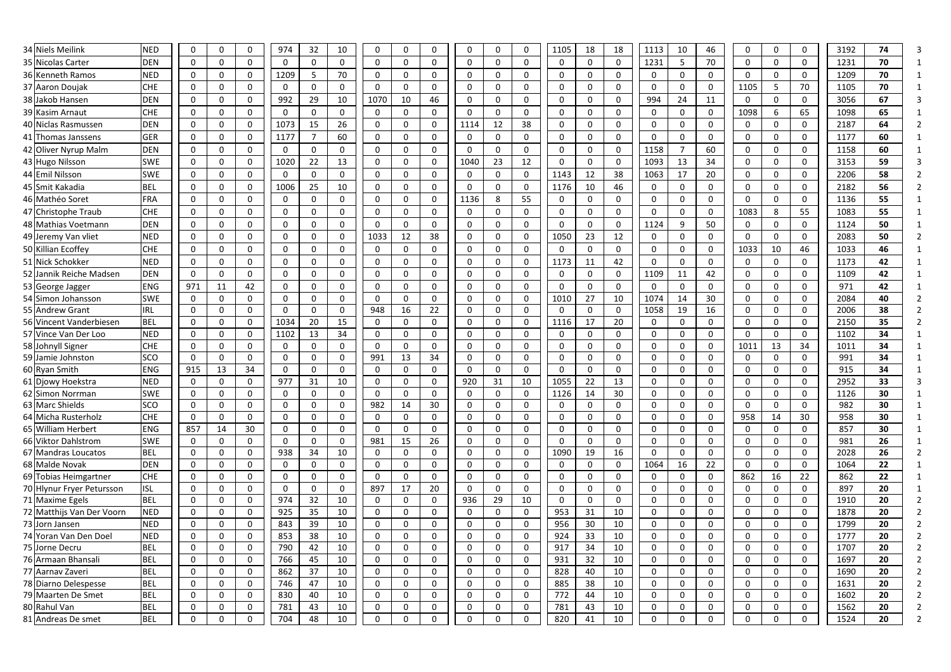| 34 Niels Meilink                      | <b>NED</b>               | 0                | $\mathbf 0$                | 0                           | 974      | 32                | 10                   | 0                          | 0                 | $\mathbf 0$                | 0                          | $\mathbf 0$                | $\mathbf{0}$ | 1105         | 18                | 18                | 1113                | 10             | 46                | 0            |                             | 0                           | 3192         | 74       |                |
|---------------------------------------|--------------------------|------------------|----------------------------|-----------------------------|----------|-------------------|----------------------|----------------------------|-------------------|----------------------------|----------------------------|----------------------------|--------------|--------------|-------------------|-------------------|---------------------|----------------|-------------------|--------------|-----------------------------|-----------------------------|--------------|----------|----------------|
| 35 Nicolas Carter                     | <b>DEN</b>               | 0                | $\mathbf 0$                | 0                           | $\Omega$ | $\mathbf 0$       | $\mathbf 0$          | $\mathbf 0$                | 0                 | $\mathbf 0$                | $\mathbf 0$                | $\mathbf 0$                | 0            | 0            | $\Omega$          | 0                 | 1231                | 5              | 70                | 0            |                             | 0                           | 1231         | 70       |                |
| 36 Kenneth Ramos                      | <b>NED</b>               | 0                | $\mathbf 0$                | $\mathbf 0$                 | 1209     | 5                 | 70                   | $\mathbf 0$                | 0                 | 0                          | $\mathbf 0$                | $\mathbf 0$                | 0            | 0            | 0                 | 0                 | $\mathbf 0$         | 0              | $\mathbf 0$       | 0            | $\Omega$                    | 0                           | 1209         | 70       |                |
| 37 Aaron Doujak                       | <b>CHE</b>               | 0                | $\mathbf 0$                | 0                           | 0        | $\mathbf 0$       | $\mathbf 0$          | $\mathbf 0$                | 0                 | 0                          | $\mathbf 0$                | $\mathbf 0$                | 0            | 0            | 0                 | 0                 | $\mathbf 0$         | $\Omega$       | $\mathbf 0$       | 1105         | 5                           | 70                          | 1105         | 70       |                |
| 38 Jakob Hansen                       | <b>DEN</b>               | 0                | $\mathbf 0$                | $\Omega$                    | 992      | 29                | 10                   | 1070                       | 10                | 46                         | 0                          | $\mathbf 0$                | $\mathbf{0}$ | 0            | $\mathbf 0$       | $\mathbf{0}$      | 994                 | 24             | 11                | 0            | $\Omega$                    | $\mathbf{0}$                | 3056         | 67       |                |
| 39 Kasim Arnaut                       | <b>CHE</b>               | 0                | $\mathbf 0$                | 0                           | $\Omega$ | $\Omega$          | $\mathbf 0$          | $\mathbf 0$                | $\mathbf{0}$      | $\mathbf 0$                | 0                          | $\mathbf 0$                | 0            | 0            | $\Omega$          | 0                 | $\mathbf 0$         | $\mathbf{0}$   | $\mathbf 0$       | 1098         | 6                           | 65                          | 1098         | 65       |                |
| 40 Niclas Rasmussen                   | <b>DEN</b>               | 0                | $\boldsymbol{0}$           | 0                           | 1073     | 15                | 26                   | $\mathbf 0$                | 0                 | $\mathbf 0$                | 1114                       | 12                         | 38           | 0            | $\mathbf 0$       | 0                 | $\mathbf 0$         | $\mathbf{0}$   | $\mathbf 0$       | 0            |                             | $\mathbf{0}$                | 2187         | 64       |                |
| 41 Thomas Janssens                    | <b>GER</b>               | 0                | $\mathbf 0$                | $\mathbf 0$                 | 1177     | $\overline{7}$    | 60                   | $\mathbf 0$                | 0                 | $\mathbf 0$                | 0                          | $\mathbf 0$                | 0            | 0            | $\mathbf 0$       | 0                 | $\mathbf 0$         | $\mathbf{0}$   | $\mathbf 0$       | 0            | $\Omega$                    | 0                           | 1177         | 60       |                |
| 42 Oliver Nyrup Malm                  | <b>DEN</b>               | 0                | $\mathbf 0$                | $\mathbf 0$                 | 0        | $\mathbf 0$       | $\mathbf 0$          | $\mathbf 0$                | 0                 | $\mathbf 0$                | 0                          | 0                          | 0            | 0            | 0                 | 0                 | 1158                |                | 60                | 0            | $\mathbf 0$                 | 0                           | 1158         | 60       |                |
| 43 Hugo Nilsson                       | <b>SWE</b>               | 0                | $\mathbf 0$                | $\Omega$                    | 1020     | 22                | 13                   | 0                          | 0                 | 0                          | 1040                       | 23                         | 12           | 0            | $\mathbf 0$       | 0                 | 1093                | 13             | 34                | 0            | $\Omega$                    | 0                           | 3153         | 59       |                |
| 44 Emil Nilsson                       | <b>SWE</b>               | 0                | $\mathbf 0$                | 0                           | $\Omega$ | $\Omega$          | $\mathbf 0$          | $\mathbf 0$                | 0                 | $\mathbf 0$                | 0                          | $\mathbf 0$                | 0            | 1143         | 12                | 38                | 1063                | 17             | 20                | 0            | $\Omega$                    | 0                           | 2206         | 58       |                |
| 45 Smit Kakadia                       | <b>BEL</b>               | $\mathbf 0$      | $\mathbf 0$                | 0                           | 1006     | 25                | 10                   | $\mathbf 0$                | 0                 | $\mathbf 0$                | 0                          | $\mathbf 0$                | 0            | 1176         | 10                | 46                | $\mathbf 0$         | 0              | $\mathbf 0$       | 0            |                             | 0                           | 2182         | 56       |                |
| 46 Mathéo Soret                       | FRA                      | 0                | $\mathbf 0$                | $\mathbf 0$                 | 0        | $\mathbf 0$       | $\mathbf 0$          | $\mathbf 0$                | 0                 | 0                          | 1136                       | 8                          | 55           | 0            | 0                 | 0                 | $\mathbf 0$         | 0              | $\mathbf 0$       | 0            | $\Omega$                    | 0                           | 1136         | 55       |                |
| 47 Christophe Traub                   | <b>CHE</b>               | 0                | $\mathbf 0$                | 0                           | 0        | $\mathbf{0}$      | 0                    | $\mathbf 0$                | 0                 | 0                          | 0                          | 0                          | 0            | 0            | $\mathbf 0$       | 0                 | $\mathbf 0$         | $\Omega$       | $\mathbf 0$       | 1083         | 8                           | 55                          | 1083         | 55       |                |
| 48 Mathias Voetmann                   | <b>DEN</b>               | 0                | $\mathbf 0$                | $\mathbf 0$                 | $\Omega$ | $\Omega$          | $\mathbf 0$          | $\mathbf 0$                | <sup>0</sup>      | 0                          | $\mathbf 0$                | $\mathbf 0$                | 0            | $\mathbf{0}$ | $\mathbf 0$       | $\Omega$          | 1124                | 9              | 50                | 0            | $\Omega$                    | $\mathbf{0}$                | 1124         | 50       |                |
| 49 Jeremy Van vliet                   | <b>NED</b>               | 0                | $\boldsymbol{0}$           | 0                           | 0        | $\mathbf 0$       | $\overline{0}$       | 1033                       | 12                | 38                         | 0                          | $\boldsymbol{0}$           | 0            | 1050         | 23                | 12                | $\mathbf 0$         | $\mathbf{0}$   | $\mathbf 0$       | $\mathbf 0$  | $\Omega$                    | 0                           | 2083         | 50       |                |
| 50 Killian Ecoffey                    | <b>CHE</b>               | $\mathbf 0$      | $\mathbf 0$                | 0                           |          | $\Omega$          | $\mathbf 0$          | 0                          | 0                 | 0                          | 0                          | $\mathbf 0$                | 0            | 0            | $\Omega$          | 0                 | $\mathbf 0$         | $\Omega$       | $\mathbf 0$       | 1033         | 10                          | 46                          | 1033         | 46       |                |
| 51 Nick Schokker                      | <b>NED</b>               | 0                | $\mathbf 0$                | $\mathbf 0$                 | 0        | $\mathbf 0$       | $\mathbf 0$          | $\mathbf 0$                | $\Omega$          | $\mathbf 0$                | 0                          | $\mathbf 0$                | 0            | 1173         | 11                | 42                | $\mathbf 0$         | $\mathbf 0$    | $\mathbf 0$       | 0            | $\mathbf 0$                 | 0                           | 1173         | 42       |                |
| 52 Jannik Reiche Madsen               | <b>DEN</b>               | 0                | $\mathbf 0$                | 0                           | 0        | $\mathbf{0}$      | 0                    | $\mathbf 0$                | 0                 | 0                          | 0                          | $\mathbf 0$                | 0            | 0            | $\mathbf 0$       | 0                 | 1109                | 11             | 42                | 0            | 0                           | 0                           | 1109         | 42       |                |
| 53 George Jagger                      | <b>ENG</b>               | 971              | 11                         | 42                          | 0        | $\Omega$          | $\mathbf 0$          | $\mathbf 0$                | 0                 | $\mathbf 0$                | 0                          | $\mathbf 0$                | 0            |              | $\Omega$          | 0                 | $\mathbf 0$         | $\Omega$       | $\mathbf 0$       | 0            |                             | 0                           | 971          | 42       |                |
| 54 Simon Johansson                    | <b>SWE</b>               | $\mathbf 0$      | $\mathbf 0$                | $\mathbf 0$                 | 0        | $\Omega$          | $\mathbf 0$          | $\Omega$                   | $\Omega$          | $\mathbf 0$                | $\mathbf 0$                | $\mathbf 0$                | 0            | 1010         | 27                | 10                | 1074                | 14             | 30                | $\mathbf{0}$ | $\Omega$                    | $\mathbf 0$                 | 2084         | 40       |                |
| 55 Andrew Grant                       | <b>IRL</b>               | 0                | $\mathbf 0$                | $\mathbf 0$                 | 0        | $\Omega$          | $\mathbf 0$          | 948                        | 16                | 22                         | 0                          | $\mathbf 0$                | $\mathbf{0}$ | 0            | $\mathbf 0$       | $\mathbf 0$       | 1058                | 19             | 16                | 0            | $\Omega$                    | $\mathbf{0}$                | 2006         | 38       |                |
| 56 Vincent Vanderbiesen               | <b>BEL</b>               | $\mathbf 0$      | $\mathbf 0$                | $\mathbf 0$                 | 1034     | 20                | 15                   | $\mathbf 0$                | $\Omega$          | 0                          | 0                          | $\mathbf 0$                | 0            | 1116         | 17                | 20                | $\mathbf 0$         | $\mathbf{0}$   | $\mathbf 0$       | 0            | $\Omega$                    | $\mathbf 0$                 | 2150         | 35       |                |
| 57 Vince Van Der Loo                  | <b>NED</b>               | 0                | $\mathbf 0$                | $\mathbf 0$                 | 1102     | 13                | 34                   | $\mathbf 0$                | 0                 | 0                          | 0                          | $\mathbf 0$                | 0            | 0            | $\mathbf 0$       | 0                 | $\mathbf 0$         | $\mathbf{0}$   | $\mathbf 0$       | 0            | $\Omega$                    | 0                           | 1102         | 34       |                |
| 58 Johnyll Signer                     | <b>CHE</b>               | 0                | $\mathbf 0$                | 0                           | 0        | $\mathbf 0$       | $\mathbf 0$          | $\mathbf 0$                | 0                 | $\mathbf 0$                | 0                          | $\mathbf 0$                | 0            | 0            | 0                 | 0                 | $\mathbf 0$         | $\mathbf{0}$   | $\mathbf 0$       | 1011         | 13                          | 34                          | 1011         | 34       |                |
| 59 Jamie Johnston                     | <b>SCO</b>               | 0                | $\mathbf 0$                | 0                           | 0        | $\mathbf{0}$      | $\mathbf 0$          | 991                        | 13                | 34                         | 0                          | $\mathbf 0$                | 0            | 0            | $\mathbf 0$       | 0                 | $\mathbf 0$         | $\Omega$       | $\mathbf 0$       | 0            | $\Omega$                    | 0                           | 991          | 34       |                |
| 60 Ryan Smith                         | <b>ENG</b>               | 915              | 13                         | 34                          | 0        | $\mathbf{0}$      | $\mathbf 0$          | $\mathbf 0$                | 0                 | 0                          | 0                          | $\mathbf 0$                | 0            | 0            | $\Omega$          | 0                 | $\mathbf 0$         | $\Omega$       | $\mathbf 0$       | 0            | 0                           | 0                           | 915          | 34       |                |
| 61 Djowy Hoekstra                     | <b>NED</b>               | 0                | $\boldsymbol{0}$           | 0                           | 977      | 31                | 10                   | $\mathbf 0$                | 0                 | $\mathbf 0$                | 920                        | 31                         | 10           | 1055         | 22                | 13                | $\mathbf 0$         | 0              | $\mathbf 0$       | 0            | $\Omega$                    | 0                           | 2952         | 33       |                |
| 62 Simon Norrman                      | <b>SWE</b>               | 0                | $\mathbf 0$                | 0                           | 0        | $\mathbf 0$       | $\mathbf 0$          | $\mathbf 0$                | 0                 | 0                          | 0                          | $\mathbf 0$                | 0            | 1126         | 14                | 30                | $\mathbf 0$         | $\Omega$       | $\mathbf 0$       | 0            | 0                           | 0                           | 1126         | 30       |                |
| 63 Marc Shields                       | <b>SCO</b>               | 0                | $\mathbf 0$                | 0                           | 0        | 0                 | $\mathbf 0$          | 982                        | 14                | 30                         | $\mathbf 0$                | $\mathbf 0$                | 0            | 0            | $\boldsymbol{0}$  | 0                 | $\mathbf 0$         | 0              | $\mathbf 0$       | 0            | 0                           | 0                           | 982          | 30       | -1             |
| 64 Micha Rusterholz                   | <b>CHE</b>               | 0                | $\mathbf 0$                | 0                           | 0        | $\mathbf 0$       | $\mathbf 0$          | $\overline{0}$             | 0                 | $\mathbf 0$                | $\mathbf 0$                | $\mathbf 0$                | 0            | 0            | $\mathbf 0$       | 0                 | $\mathbf 0$         | $\mathbf 0$    | $\mathbf 0$       | 958          | 14                          | 30                          | 958          | 30       | -1             |
| 65 William Herbert                    | <b>ENG</b>               | 857              | 14                         | 30                          | 0        | $\mathbf 0$       | $\mathbf 0$          | $\mathbf 0$                | 0                 | $\mathbf 0$                | $\boldsymbol{0}$           | $\mathbf 0$                | 0            | 0            | 0                 | 0                 | $\mathbf 0$         | 0              | $\mathbf 0$       | 0            | $\mathbf 0$                 | 0                           | 857          | 30       | $\mathbf{1}$   |
| 66 Viktor Dahlstrom                   | <b>SWE</b>               | 0                | $\mathbf 0$                | $\mathbf 0$                 | 0        | $\mathbf 0$       | $\mathbf 0$          | 981                        | 15                | 26                         | $\mathbf 0$                | $\mathbf 0$                | $\mathbf 0$  | 0            | $\mathbf 0$       | 0                 | $\mathbf 0$         | 0              | $\mathbf 0$       | 0            | $\mathbf 0$                 | 0                           | 981          | 26       | -1             |
| 67 Mandras Loucatos<br>68 Malde Novak | <b>BEL</b><br><b>DEN</b> | 0<br>$\mathbf 0$ | $\mathbf 0$<br>$\mathbf 0$ | $\mathsf{O}$<br>$\mathbf 0$ | 938      | 34<br>$\mathbf 0$ | 10<br>$\overline{0}$ | $\mathbf 0$<br>$\mathbf 0$ | $\mathbf{0}$      | $\mathbf 0$<br>$\mathbf 0$ | $\mathbf 0$<br>$\mathbf 0$ | $\mathbf 0$<br>$\mathbf 0$ | 0            | 1090         | 19<br>$\mathbf 0$ | 16<br>$\mathbf 0$ | $\mathbf 0$<br>1064 | $\Omega$<br>16 | $\mathbf 0$<br>22 | 0<br>0       | $\mathbf 0$<br>$\mathbf{0}$ | $\mathbf 0$<br>$\mathbf{0}$ | 2028<br>1064 | 26<br>22 | $\overline{2}$ |
| 69 Tobias Heimgartner                 | <b>CHE</b>               | 0                | $\mathbf 0$                | $\mathbf 0$                 | 0<br>0   | $\mathbf 0$       | $\mathbf 0$          | $\mathbf 0$                | 0<br>$\mathbf{0}$ | $\mathbf 0$                | $\mathbf 0$                | $\mathbf 0$                | 0<br>0       | 0<br>0       | $\mathbf 0$       | $\mathbf 0$       | $\mathbf 0$         | 0              | $\mathbf 0$       | 862          | 16                          | 22                          | 862          | 22       | -1             |
| 70 Hlynur Fryer Petursson             | <b>ISL</b>               | 0                | $\mathbf 0$                | $\mathbf 0$                 | 0        | $\mathbf 0$       | $\mathbf 0$          | 897                        | 17                | 20                         | $\mathbf 0$                | $\mathbf 0$                | $\mathbf 0$  | 0            | $\mathbf 0$       | 0                 | $\mathbf 0$         | 0              | $\mathbf 0$       | 0            | $\mathbf{0}$                | 0                           | 897          | 20       | -1             |
| 71 Maxime Egels                       | <b>BEL</b>               | 0                | $\mathbf 0$                | $\mathbf 0$                 | 974      | 32                | 10                   | $\mathbf 0$                | 0                 | $\mathbf 0$                | 936                        | 29                         | 10           | 0            | $\mathbf 0$       | 0                 | $\mathbf 0$         | $\mathbf 0$    | $\mathbf 0$       | 0            | $\mathbf 0$                 | 0                           | 1910         | 20       |                |
| 72 Matthijs Van Der Voorn             | <b>NED</b>               | 0                | $\mathbf 0$                | $\mathsf{O}$                | 925      | 35                | 10                   | $\mathbf 0$                | 0                 | $\mathbf 0$                | $\mathbf 0$                | $\mathbf 0$                | 0            | 953          | 31                | 10                | $\mathbf 0$         | 0              | $\mathbf 0$       | 0            |                             | $\mathbf 0$                 | 1878         | 20       |                |
| 73 Jorn Jansen                        | <b>NED</b>               | 0                | $\mathbf 0$                | $\mathsf{O}$                | 843      | 39                | 10                   | $\mathbf 0$                | $\Omega$          | $\mathbf 0$                | $\mathbf 0$                | $\mathbf 0$                | $\mathbf 0$  | 956          | 30                | 10                | $\mathbf 0$         | 0              | $\mathbf 0$       | 0            | $\mathbf 0$                 | 0                           | 1799         | 20       |                |
| 74 Yoran Van Den Doel                 | <b>NED</b>               | 0                | $\mathbf 0$                | $\mathbf 0$                 | 853      | 38                | 10                   | $\mathbf 0$                | $\Omega$          | 0                          | $\mathbf 0$                | $\boldsymbol{0}$           | 0            | 924          | 33                | 10                | $\mathbf 0$         | 0              | $\mathbf 0$       | 0            | $\Omega$                    | $\mathbf{0}$                | 1777         | 20       |                |
| 75 Jorne Decru                        | <b>BEL</b>               | 0                | $\mathbf 0$                | $\mathbf 0$                 | 790      | 42                | 10                   | $\mathbf 0$                | $\Omega$          | $\mathbf 0$                | $\mathbf 0$                | $\mathbf 0$                | $\mathbf 0$  | 917          | 34                | 10                | $\mathbf 0$         | 0              | $\mathbf 0$       | 0            | 0                           | $\mathbf 0$                 | 1707         | 20       |                |
| 76 Armaan Bhansali                    | <b>BEL</b>               | 0                | $\mathbf 0$                | $\mathbf 0$                 | 766      | 45                | 10                   | $\mathbf 0$                | 0                 | 0                          | 0                          | $\mathbf 0$                | 0            | 931          | 32                | 10                | $\mathbf 0$         | $\mathbf{0}$   | $\mathbf 0$       | 0            | 0                           | $\mathbf{0}$                | 1697         | 20       |                |
| 77 Aarnav Zaveri                      | <b>BEL</b>               | $\mathbf 0$      | $\mathbf 0$                | $\mathbf 0$                 | 862      | 37                | 10                   | $\mathbf 0$                | 0                 | $\boldsymbol{0}$           | $\mathbf 0$                | $\mathbf 0$                | 0            | 828          | 40                | 10                | $\mathbf 0$         | 0              | $\mathbf 0$       | 0            | $\Omega$                    | 0                           | 1690         | 20       |                |
| 78 Diarno Delespesse                  | <b>BEL</b>               | 0                | $\mathbf 0$                | 0                           | 746      | 47                | 10                   | $\mathbf 0$                | 0                 | $\mathbf 0$                | 0                          | $\mathbf 0$                | 0            | 885          | 38                | 10                | $\mathbf 0$         | 0              | $\mathbf 0$       | 0            | $\Omega$                    | 0                           | 1631         | 20       |                |
| 79 Maarten De Smet                    | <b>BEL</b>               | $\mathbf 0$      | $\mathbf 0$                | $\mathsf{O}$                | 830      | 40                | 10                   | $\mathbf 0$                | 0                 | $\boldsymbol{0}$           | $\mathbf 0$                | $\mathbf 0$                | 0            | 772          | 44                | 10                | $\mathbf 0$         | 0              | $\mathbf 0$       | 0            | $\Omega$                    | $\mathbf 0$                 | 1602         | 20       |                |
| 80 Rahul Van                          | <b>BEL</b>               | 0                | $\mathbf 0$                | 0                           | 781      | 43                | 10                   | $\overline{0}$             | 0                 | $\mathbf 0$                | 0                          | $\mathbf 0$                | 0            | 781          | 43                | 10                | $\mathbf 0$         | 0              | $\boldsymbol{0}$  | 0            | 0                           | 0                           | 1562         | 20       |                |
| 81 Andreas De smet                    | <b>BEL</b>               | 0                | $\mathbf 0$                | $\mathbf 0$                 | 704      | 48                | 10                   | $\mathbf 0$                | $\mathbf 0$       | $\mathbf 0$                | $\mathbf 0$                | $\mathbf 0$                | 0            | 820          | 41                | 10                | $\mathbf 0$         | 0              | $\mathbf 0$       | $\mathbf 0$  | 0                           | $\mathbf 0$                 | 1524         | 20       | $\overline{2}$ |
|                                       |                          |                  |                            |                             |          |                   |                      |                            |                   |                            |                            |                            |              |              |                   |                   |                     |                |                   |              |                             |                             |              |          |                |